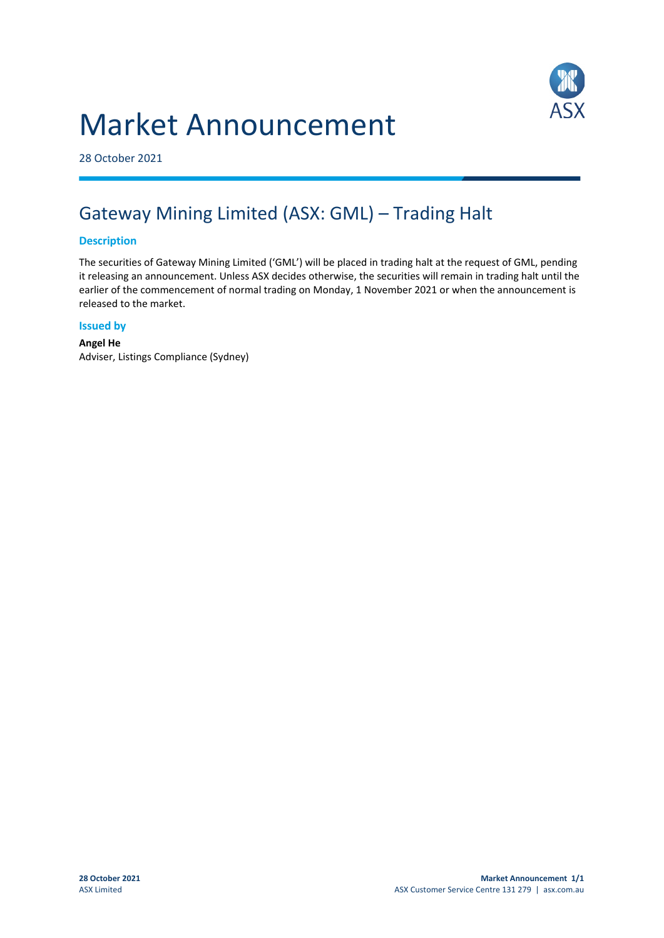# Market Announcement



28 October 2021

## Gateway Mining Limited (ASX: GML) – Trading Halt

#### **Description**

The securities of Gateway Mining Limited ('GML') will be placed in trading halt at the request of GML, pending it releasing an announcement. Unless ASX decides otherwise, the securities will remain in trading halt until the earlier of the commencement of normal trading on Monday, 1 November 2021 or when the announcement is released to the market.

#### **Issued by**

**Angel He** Adviser, Listings Compliance (Sydney)